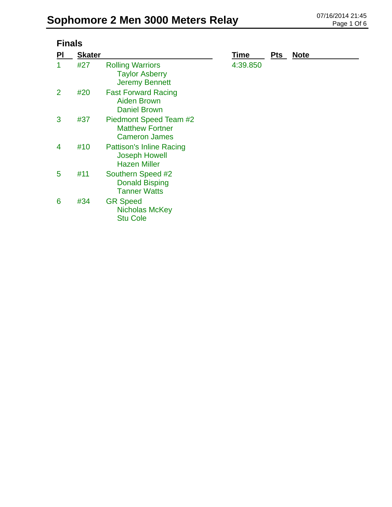| <b>Finals</b> |               |                                                                                |          |            |             |  |
|---------------|---------------|--------------------------------------------------------------------------------|----------|------------|-------------|--|
| <u>PI</u>     | <b>Skater</b> |                                                                                | Time     | <u>Pts</u> | <b>Note</b> |  |
| 1             | #27           | <b>Rolling Warriors</b><br><b>Taylor Asberry</b><br><b>Jeremy Bennett</b>      | 4:39.850 |            |             |  |
| 2             | #20           | <b>Fast Forward Racing</b><br><b>Aiden Brown</b><br><b>Daniel Brown</b>        |          |            |             |  |
| 3             | #37           | Piedmont Speed Team #2<br><b>Matthew Fortner</b><br><b>Cameron James</b>       |          |            |             |  |
| 4             | #10           | <b>Pattison's Inline Racing</b><br><b>Joseph Howell</b><br><b>Hazen Miller</b> |          |            |             |  |
| 5             | #11           | Southern Speed #2<br><b>Donald Bisping</b><br><b>Tanner Watts</b>              |          |            |             |  |
| 6             | #34           | <b>GR Speed</b><br><b>Nicholas McKey</b><br><b>Stu Cole</b>                    |          |            |             |  |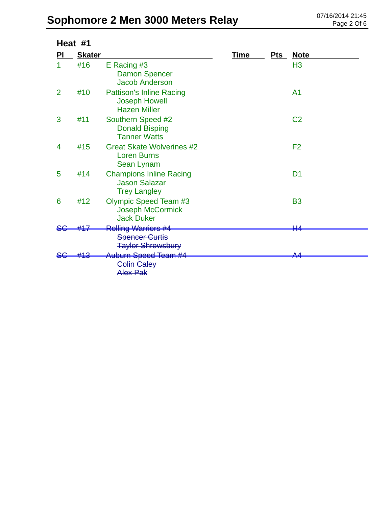| Heat #1        |               |                                                                                 |             |            |                |
|----------------|---------------|---------------------------------------------------------------------------------|-------------|------------|----------------|
| PI             | <b>Skater</b> |                                                                                 | <u>Time</u> | <u>Pts</u> | <u>Note</u>    |
| 1              | #16           | E Racing #3<br><b>Damon Spencer</b><br><b>Jacob Anderson</b>                    |             |            | H <sub>3</sub> |
| $\overline{2}$ | #10           | <b>Pattison's Inline Racing</b><br><b>Joseph Howell</b><br><b>Hazen Miller</b>  |             |            | A <sub>1</sub> |
| 3              | #11           | Southern Speed #2<br><b>Donald Bisping</b><br><b>Tanner Watts</b>               |             |            | C <sub>2</sub> |
| 4              | #15           | <b>Great Skate Wolverines #2</b><br><b>Loren Burns</b><br>Sean Lynam            |             |            | F <sub>2</sub> |
| 5              | #14           | <b>Champions Inline Racing</b><br><b>Jason Salazar</b><br><b>Trey Langley</b>   |             |            | D <sub>1</sub> |
| 6              | #12           | <b>Olympic Speed Team #3</b><br>Joseph McCormick<br><b>Jack Duker</b>           |             |            | <b>B3</b>      |
|                |               | <b>Rolling Warriors #4</b><br><b>Spencer Curtis</b><br><b>Taylor Shrewsbury</b> |             |            | ₩4             |
|                |               | <b>Auburn Speed Team #4</b><br><b>Colin Caley</b><br>Alex Pak                   |             |            | ^ /            |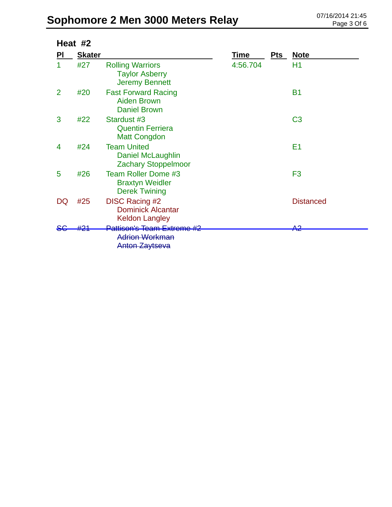| Heat #2        |               |                                                                                         |          |            |                   |
|----------------|---------------|-----------------------------------------------------------------------------------------|----------|------------|-------------------|
| PI             | <b>Skater</b> |                                                                                         | Time     | <b>Pts</b> | <b>Note</b>       |
| 1              | #27           | <b>Rolling Warriors</b><br><b>Taylor Asberry</b><br><b>Jeremy Bennett</b>               | 4:56.704 |            | H1                |
| $\overline{2}$ | #20           | <b>Fast Forward Racing</b><br><b>Aiden Brown</b><br><b>Daniel Brown</b>                 |          |            | <b>B1</b>         |
| 3              | #22           | Stardust #3<br><b>Quentin Ferriera</b><br><b>Matt Congdon</b>                           |          |            | C <sub>3</sub>    |
| 4              | #24           | <b>Team United</b><br>Daniel McLaughlin<br><b>Zachary Stoppelmoor</b>                   |          |            | E <sub>1</sub>    |
| 5              | #26           | Team Roller Dome #3<br><b>Braxtyn Weidler</b><br><b>Derek Twining</b>                   |          |            | F <sub>3</sub>    |
| DQ             | #25           | <b>DISC Racing #2</b><br><b>Dominick Alcantar</b><br><b>Keldon Langley</b>              |          |            | <b>Distanced</b>  |
|                |               | <del>Pattison's Team Extreme #2</del><br><b>Adrion Workman</b><br><b>Anton Zaytseva</b> |          |            | ഹ<br><b>TENTA</b> |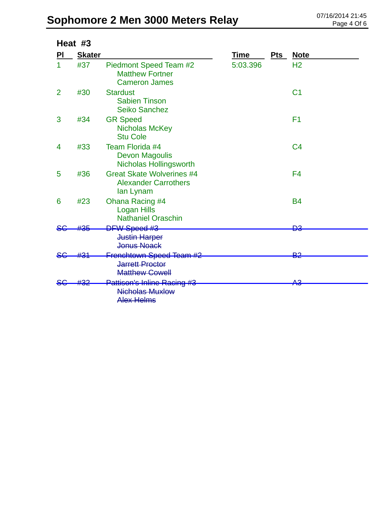|                | Heat #3       |                                                                              |          |     |                |
|----------------|---------------|------------------------------------------------------------------------------|----------|-----|----------------|
| PI             | <b>Skater</b> |                                                                              | Time     | Pts | <u>Note</u>    |
|                | #37           | Piedmont Speed Team #2<br><b>Matthew Fortner</b><br><b>Cameron James</b>     | 5:03.396 |     | H <sub>2</sub> |
| $\overline{2}$ | #30           | <b>Stardust</b><br><b>Sabien Tinson</b><br><b>Seiko Sanchez</b>              |          |     | C <sub>1</sub> |
| 3              | #34           | <b>GR Speed</b><br><b>Nicholas McKey</b><br><b>Stu Cole</b>                  |          |     | F <sub>1</sub> |
| 4              | #33           | Team Florida #4<br><b>Devon Magoulis</b><br><b>Nicholas Hollingsworth</b>    |          |     | C <sub>4</sub> |
| 5              | #36           | <b>Great Skate Wolverines #4</b><br><b>Alexander Carrothers</b><br>lan Lynam |          |     | F <sub>4</sub> |
| 6              | #23           | <b>Ohana Racing #4</b><br><b>Logan Hills</b><br><b>Nathaniel Oraschin</b>    |          |     | <b>B4</b>      |
|                | #35           | DFW Speed #3<br><b>Justin Harper</b><br><b>Jonus Noack</b>                   |          |     | ÐЗ             |
|                |               | Frenchtown Speed Team #2<br><b>Jarrett Proctor</b><br><b>Matthew Cowell</b>  |          |     | פם             |
|                |               | Pattison's Inline Racing #3<br><b>Nicholas Muxlow</b><br><b>Alex Helms</b>   |          |     | <u>ג מ</u>     |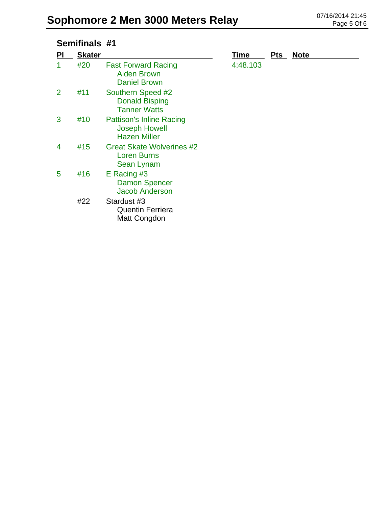#### **Semifinals #1**

| PI | <b>Skater</b> |                                                                                | <b>Time</b> | <b>Pts</b> | <b>Note</b> |
|----|---------------|--------------------------------------------------------------------------------|-------------|------------|-------------|
|    | #20           | <b>Fast Forward Racing</b><br><b>Aiden Brown</b><br><b>Daniel Brown</b>        | 4:48.103    |            |             |
| 2  | #11           | Southern Speed #2<br><b>Donald Bisping</b><br><b>Tanner Watts</b>              |             |            |             |
| 3  | #10           | <b>Pattison's Inline Racing</b><br><b>Joseph Howell</b><br><b>Hazen Miller</b> |             |            |             |
| 4  | #15           | <b>Great Skate Wolverines #2</b><br><b>Loren Burns</b><br>Sean Lynam           |             |            |             |
| 5  | #16           | $E$ Racing #3<br><b>Damon Spencer</b><br><b>Jacob Anderson</b>                 |             |            |             |
|    | #22           | Stardust #3<br><b>Quentin Ferriera</b><br>Matt Congdon                         |             |            |             |